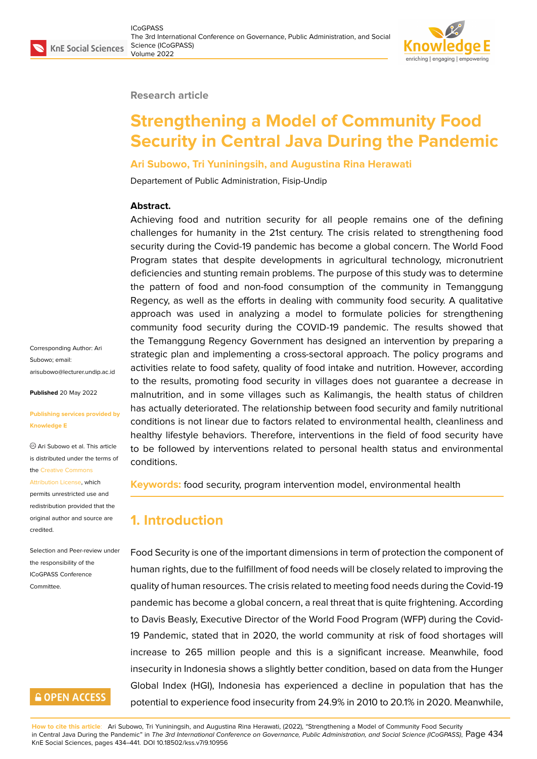

#### **Research article**

# **Strengthening a Model of Community Food Security in Central Java During the Pandemic**

#### **Ari Subowo, Tri Yuniningsih, and Augustina Rina Herawati**

Departement of Public Administration, Fisip-Undip

#### **Abstract.**

Achieving food and nutrition security for all people remains one of the defining challenges for humanity in the 21st century. The crisis related to strengthening food security during the Covid-19 pandemic has become a global concern. The World Food Program states that despite developments in agricultural technology, micronutrient deficiencies and stunting remain problems. The purpose of this study was to determine the pattern of food and non-food consumption of the community in Temanggung Regency, as well as the efforts in dealing with community food security. A qualitative approach was used in analyzing a model to formulate policies for strengthening community food security during the COVID-19 pandemic. The results showed that the Temanggung Regency Government has designed an intervention by preparing a strategic plan and implementing a cross-sectoral approach. The policy programs and activities relate to food safety, quality of food intake and nutrition. However, according to the results, promoting food security in villages does not guarantee a decrease in malnutrition, and in some villages such as Kalimangis, the health status of children has actually deteriorated. The relationship between food security and family nutritional conditions is not linear due to factors related to environmental health, cleanliness and healthy lifestyle behaviors. Therefore, interventions in the field of food security have to be followed by interventions related to personal health status and environmental conditions.

**Keywords:** food security, program intervention model, environmental health

## **1. Introduction**

Food Security is one of the important dimensions in term of protection the component of human rights, due to the fulfillment of food needs will be closely related to improving the quality of human resources. The crisis related to meeting food needs during the Covid-19 pandemic has become a global concern, a real threat that is quite frightening. According to Davis Beasly, Executive Director of the World Food Program (WFP) during the Covid-19 Pandemic, stated that in 2020, the world community at risk of food shortages will increase to 265 million people and this is a significant increase. Meanwhile, food insecurity in Indonesia shows a slightly better condition, based on data from the Hunger Global Index (HGI), Indonesia has experienced a decline in population that has the potential to experience food insecurity from 24.9% in 2010 to 20.1% in 2020. Meanwhile,

**How to cite this article**: Ari Subowo, Tri Yuniningsih, and Augustina Rina Herawati, (2022), "Strengthening a Model of Community Food Security in Central Java During the Pandemic" in *The 3rd International Conference on Governance, Public Administration, and Social Science (ICoGPASS)*, Page 434 KnE Social Sciences, pages 434–441. DOI 10.18502/kss.v7i9.10956

Corresponding Author: Ari Subowo; email: arisubowo@lecturer.undip.ac.id

**Published** 20 May 2022

#### **[Publishing services provided b](mailto:arisubowo@lecturer.undip.ac.id)y Knowledge E**

Ari Subowo et al. This article is distributed under the terms of the Creative Commons

#### Attribution License, which

permits unrestricted use and redistribution provided that the orig[inal author and sou](https://creativecommons.org/licenses/by/4.0/)rce are [credited.](https://creativecommons.org/licenses/by/4.0/)

#### Selection and Peer-review under the responsibility of the ICoGPASS Conference **Committee**

## **GOPEN ACCESS**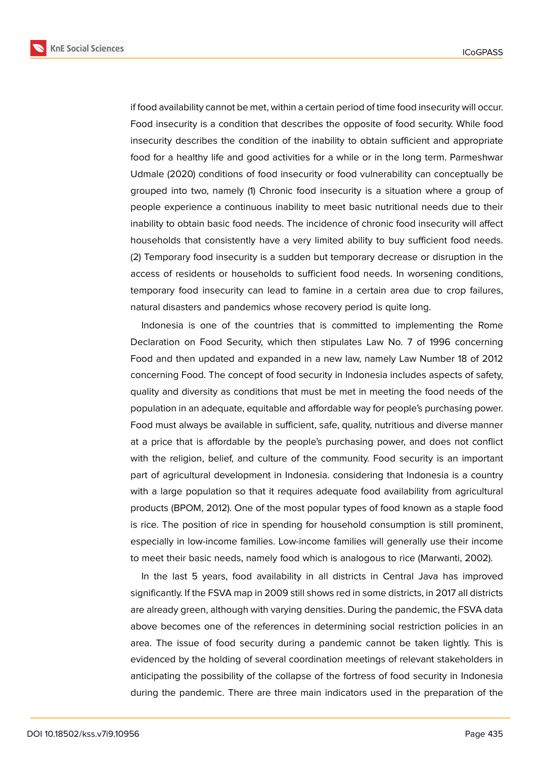**KnE Social Sciences** 



if food availability cannot be met, within a certain period of time food insecurity will occur. Food insecurity is a condition that describes the opposite of food security. While food insecurity describes the condition of the inability to obtain sufficient and appropriate food for a healthy life and good activities for a while or in the long term. Parmeshwar Udmale (2020) conditions of food insecurity or food vulnerability can conceptually be grouped into two, namely (1) Chronic food insecurity is a situation where a group of people experience a continuous inability to meet basic nutritional needs due to their inability to obtain basic food needs. The incidence of chronic food insecurity will affect households that consistently have a very limited ability to buy sufficient food needs. (2) Temporary food insecurity is a sudden but temporary decrease or disruption in the

access of residents or households to sufficient food needs. In worsening conditions, temporary food insecurity can lead to famine in a certain area due to crop failures, natural disasters and pandemics whose recovery period is quite long.

Indonesia is one of the countries that is committed to implementing the Rome Declaration on Food Security, which then stipulates Law No. 7 of 1996 concerning Food and then updated and expanded in a new law, namely Law Number 18 of 2012 concerning Food. The concept of food security in Indonesia includes aspects of safety, quality and diversity as conditions that must be met in meeting the food needs of the population in an adequate, equitable and affordable way for people's purchasing power. Food must always be available in sufficient, safe, quality, nutritious and diverse manner at a price that is affordable by the people's purchasing power, and does not conflict with the religion, belief, and culture of the community. Food security is an important part of agricultural development in Indonesia. considering that Indonesia is a country with a large population so that it requires adequate food availability from agricultural products (BPOM, 2012). One of the most popular types of food known as a staple food is rice. The position of rice in spending for household consumption is still prominent, especially in low-income families. Low-income families will generally use their income to meet their basic needs, namely food which is analogous to rice (Marwanti, 2002).

In the last 5 years, food availability in all districts in Central Java has improved significantly. If the FSVA map in 2009 still shows red in some districts, in 2017 all districts are already green, although with varying densities. During the pandemic, the FSVA data above becomes one of the references in determining social restriction policies in an area. The issue of food security during a pandemic cannot be taken lightly. This is evidenced by the holding of several coordination meetings of relevant stakeholders in anticipating the possibility of the collapse of the fortress of food security in Indonesia during the pandemic. There are three main indicators used in the preparation of the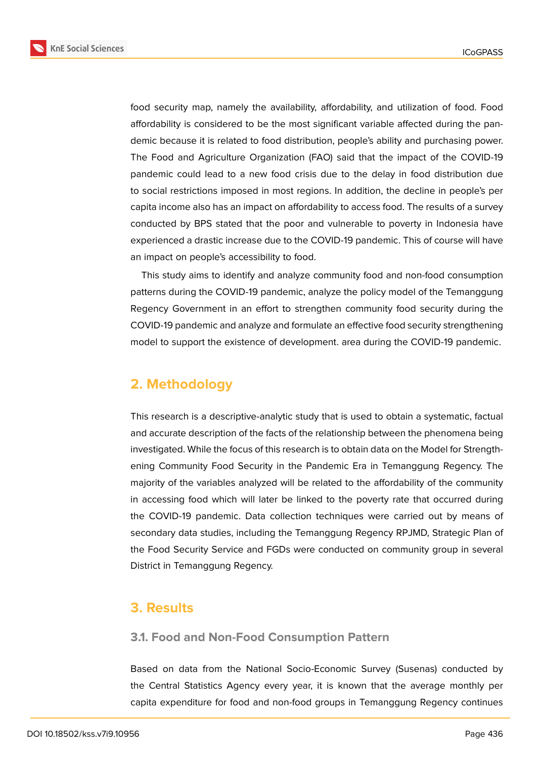**KnE Social Sciences** 



food security map, namely the availability, affordability, and utilization of food. Food affordability is considered to be the most significant variable affected during the pandemic because it is related to food distribution, people's ability and purchasing power. The Food and Agriculture Organization (FAO) said that the impact of the COVID-19 pandemic could lead to a new food crisis due to the delay in food distribution due to social restrictions imposed in most regions. In addition, the decline in people's per capita income also has an impact on affordability to access food. The results of a survey conducted by BPS stated that the poor and vulnerable to poverty in Indonesia have experienced a drastic increase due to the COVID-19 pandemic. This of course will have an impact on people's accessibility to food.

This study aims to identify and analyze community food and non-food consumption patterns during the COVID-19 pandemic, analyze the policy model of the Temanggung Regency Government in an effort to strengthen community food security during the COVID-19 pandemic and analyze and formulate an effective food security strengthening model to support the existence of development. area during the COVID-19 pandemic.

## **2. Methodology**

This research is a descriptive-analytic study that is used to obtain a systematic, factual and accurate description of the facts of the relationship between the phenomena being investigated. While the focus of this research is to obtain data on the Model for Strengthening Community Food Security in the Pandemic Era in Temanggung Regency. The majority of the variables analyzed will be related to the affordability of the community in accessing food which will later be linked to the poverty rate that occurred during the COVID-19 pandemic. Data collection techniques were carried out by means of secondary data studies, including the Temanggung Regency RPJMD, Strategic Plan of the Food Security Service and FGDs were conducted on community group in several District in Temanggung Regency.

## **3. Results**

#### **3.1. Food and Non-Food Consumption Pattern**

Based on data from the National Socio-Economic Survey (Susenas) conducted by the Central Statistics Agency every year, it is known that the average monthly per capita expenditure for food and non-food groups in Temanggung Regency continues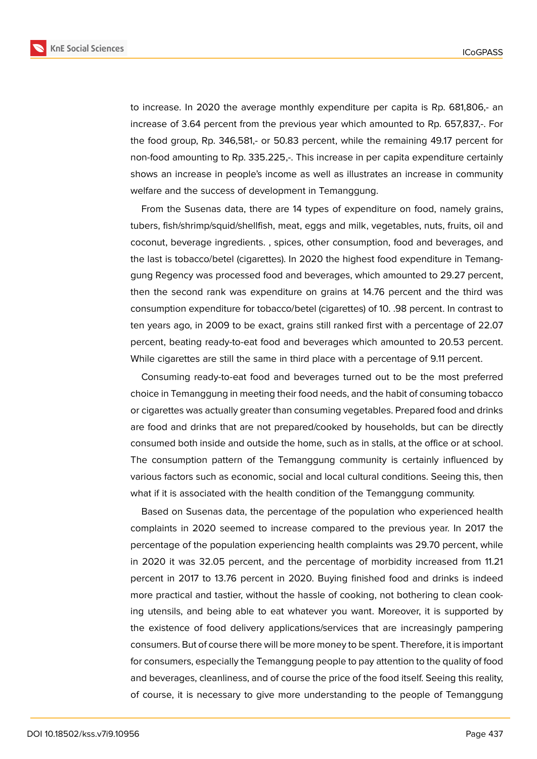

to increase. In 2020 the average monthly expenditure per capita is Rp. 681,806,- an increase of 3.64 percent from the previous year which amounted to Rp. 657,837,-. For the food group, Rp. 346,581,- or 50.83 percent, while the remaining 49.17 percent for non-food amounting to Rp. 335.225,-. This increase in per capita expenditure certainly shows an increase in people's income as well as illustrates an increase in community welfare and the success of development in Temanggung.

From the Susenas data, there are 14 types of expenditure on food, namely grains, tubers, fish/shrimp/squid/shellfish, meat, eggs and milk, vegetables, nuts, fruits, oil and coconut, beverage ingredients. , spices, other consumption, food and beverages, and the last is tobacco/betel (cigarettes). In 2020 the highest food expenditure in Temanggung Regency was processed food and beverages, which amounted to 29.27 percent, then the second rank was expenditure on grains at 14.76 percent and the third was consumption expenditure for tobacco/betel (cigarettes) of 10. .98 percent. In contrast to ten years ago, in 2009 to be exact, grains still ranked first with a percentage of 22.07 percent, beating ready-to-eat food and beverages which amounted to 20.53 percent. While cigarettes are still the same in third place with a percentage of 9.11 percent.

Consuming ready-to-eat food and beverages turned out to be the most preferred choice in Temanggung in meeting their food needs, and the habit of consuming tobacco or cigarettes was actually greater than consuming vegetables. Prepared food and drinks are food and drinks that are not prepared/cooked by households, but can be directly consumed both inside and outside the home, such as in stalls, at the office or at school. The consumption pattern of the Temanggung community is certainly influenced by various factors such as economic, social and local cultural conditions. Seeing this, then what if it is associated with the health condition of the Temanggung community.

Based on Susenas data, the percentage of the population who experienced health complaints in 2020 seemed to increase compared to the previous year. In 2017 the percentage of the population experiencing health complaints was 29.70 percent, while in 2020 it was 32.05 percent, and the percentage of morbidity increased from 11.21 percent in 2017 to 13.76 percent in 2020. Buying finished food and drinks is indeed more practical and tastier, without the hassle of cooking, not bothering to clean cooking utensils, and being able to eat whatever you want. Moreover, it is supported by the existence of food delivery applications/services that are increasingly pampering consumers. But of course there will be more money to be spent. Therefore, it is important for consumers, especially the Temanggung people to pay attention to the quality of food and beverages, cleanliness, and of course the price of the food itself. Seeing this reality, of course, it is necessary to give more understanding to the people of Temanggung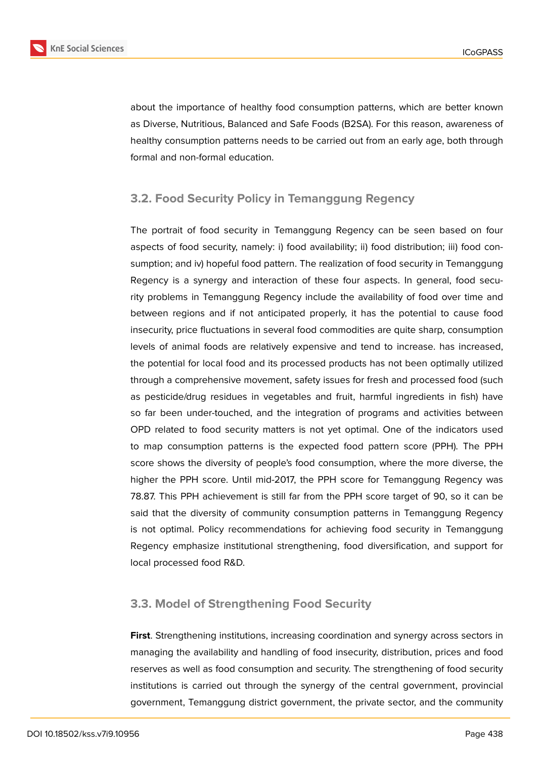

about the importance of healthy food consumption patterns, which are better known as Diverse, Nutritious, Balanced and Safe Foods (B2SA). For this reason, awareness of healthy consumption patterns needs to be carried out from an early age, both through formal and non-formal education.

#### **3.2. Food Security Policy in Temanggung Regency**

The portrait of food security in Temanggung Regency can be seen based on four aspects of food security, namely: i) food availability; ii) food distribution; iii) food consumption; and iv) hopeful food pattern. The realization of food security in Temanggung Regency is a synergy and interaction of these four aspects. In general, food security problems in Temanggung Regency include the availability of food over time and between regions and if not anticipated properly, it has the potential to cause food insecurity, price fluctuations in several food commodities are quite sharp, consumption levels of animal foods are relatively expensive and tend to increase. has increased, the potential for local food and its processed products has not been optimally utilized through a comprehensive movement, safety issues for fresh and processed food (such as pesticide/drug residues in vegetables and fruit, harmful ingredients in fish) have so far been under-touched, and the integration of programs and activities between OPD related to food security matters is not yet optimal. One of the indicators used to map consumption patterns is the expected food pattern score (PPH). The PPH score shows the diversity of people's food consumption, where the more diverse, the higher the PPH score. Until mid-2017, the PPH score for Temanggung Regency was 78.87. This PPH achievement is still far from the PPH score target of 90, so it can be said that the diversity of community consumption patterns in Temanggung Regency is not optimal. Policy recommendations for achieving food security in Temanggung Regency emphasize institutional strengthening, food diversification, and support for local processed food R&D.

#### **3.3. Model of Strengthening Food Security**

**First**. Strengthening institutions, increasing coordination and synergy across sectors in managing the availability and handling of food insecurity, distribution, prices and food reserves as well as food consumption and security. The strengthening of food security institutions is carried out through the synergy of the central government, provincial government, Temanggung district government, the private sector, and the community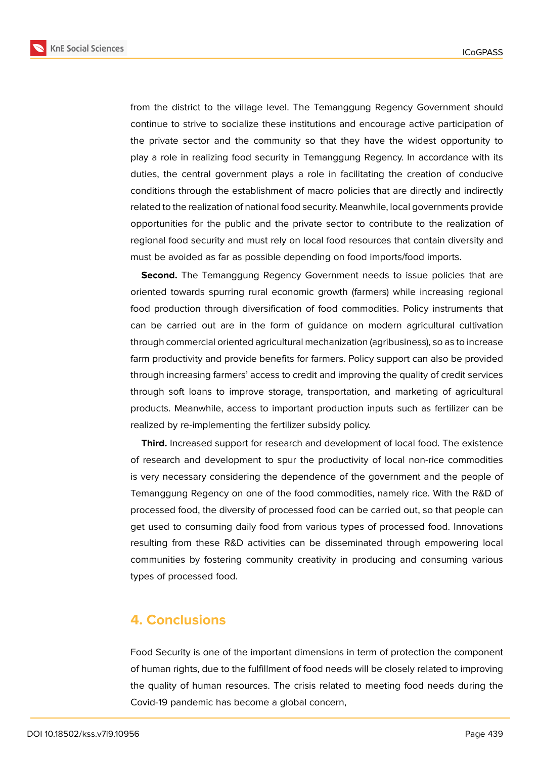**KnE Social Sciences** 



from the district to the village level. The Temanggung Regency Government should continue to strive to socialize these institutions and encourage active participation of the private sector and the community so that they have the widest opportunity to play a role in realizing food security in Temanggung Regency. In accordance with its duties, the central government plays a role in facilitating the creation of conducive conditions through the establishment of macro policies that are directly and indirectly related to the realization of national food security. Meanwhile, local governments provide opportunities for the public and the private sector to contribute to the realization of regional food security and must rely on local food resources that contain diversity and must be avoided as far as possible depending on food imports/food imports.

**Second.** The Temanggung Regency Government needs to issue policies that are oriented towards spurring rural economic growth (farmers) while increasing regional food production through diversification of food commodities. Policy instruments that can be carried out are in the form of guidance on modern agricultural cultivation through commercial oriented agricultural mechanization (agribusiness), so as to increase farm productivity and provide benefits for farmers. Policy support can also be provided through increasing farmers' access to credit and improving the quality of credit services through soft loans to improve storage, transportation, and marketing of agricultural products. Meanwhile, access to important production inputs such as fertilizer can be realized by re-implementing the fertilizer subsidy policy.

**Third.** Increased support for research and development of local food. The existence of research and development to spur the productivity of local non-rice commodities is very necessary considering the dependence of the government and the people of Temanggung Regency on one of the food commodities, namely rice. With the R&D of processed food, the diversity of processed food can be carried out, so that people can get used to consuming daily food from various types of processed food. Innovations resulting from these R&D activities can be disseminated through empowering local communities by fostering community creativity in producing and consuming various types of processed food.

## **4. Conclusions**

Food Security is one of the important dimensions in term of protection the component of human rights, due to the fulfillment of food needs will be closely related to improving the quality of human resources. The crisis related to meeting food needs during the Covid-19 pandemic has become a global concern,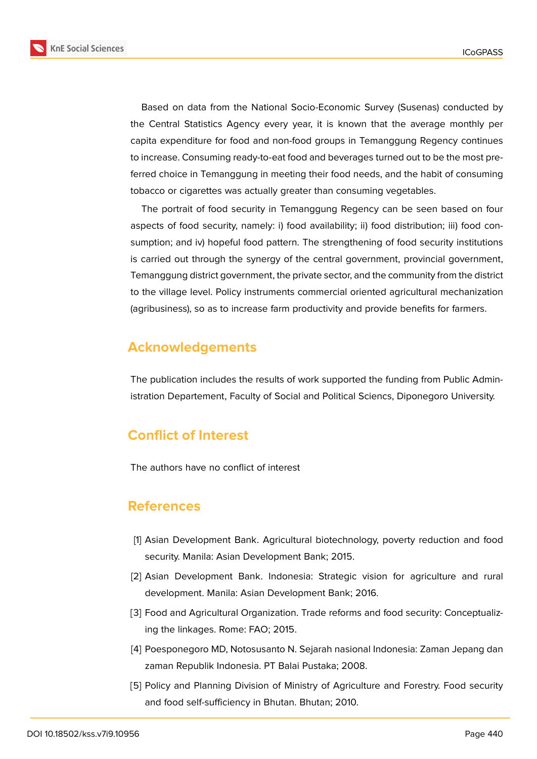



Based on data from the National Socio-Economic Survey (Susenas) conducted by the Central Statistics Agency every year, it is known that the average monthly per capita expenditure for food and non-food groups in Temanggung Regency continues to increase. Consuming ready-to-eat food and beverages turned out to be the most preferred choice in Temanggung in meeting their food needs, and the habit of consuming tobacco or cigarettes was actually greater than consuming vegetables.

The portrait of food security in Temanggung Regency can be seen based on four aspects of food security, namely: i) food availability; ii) food distribution; iii) food consumption; and iv) hopeful food pattern. The strengthening of food security institutions is carried out through the synergy of the central government, provincial government, Temanggung district government, the private sector, and the community from the district to the village level. Policy instruments commercial oriented agricultural mechanization (agribusiness), so as to increase farm productivity and provide benefits for farmers.

## **Acknowledgements**

The publication includes the results of work supported the funding from Public Administration Departement, Faculty of Social and Political Sciencs, Diponegoro University.

## **Conflict of Interest**

The authors have no conflict of interest

## **References**

- [1] Asian Development Bank. Agricultural biotechnology, poverty reduction and food security. Manila: Asian Development Bank; 2015.
- [2] Asian Development Bank. Indonesia: Strategic vision for agriculture and rural development. Manila: Asian Development Bank; 2016.
- [3] Food and Agricultural Organization. Trade reforms and food security: Conceptualizing the linkages. Rome: FAO; 2015.
- [4] Poesponegoro MD, Notosusanto N. Sejarah nasional Indonesia: Zaman Jepang dan zaman Republik Indonesia. PT Balai Pustaka; 2008.
- [5] Policy and Planning Division of Ministry of Agriculture and Forestry. Food security and food self-sufficiency in Bhutan. Bhutan; 2010.